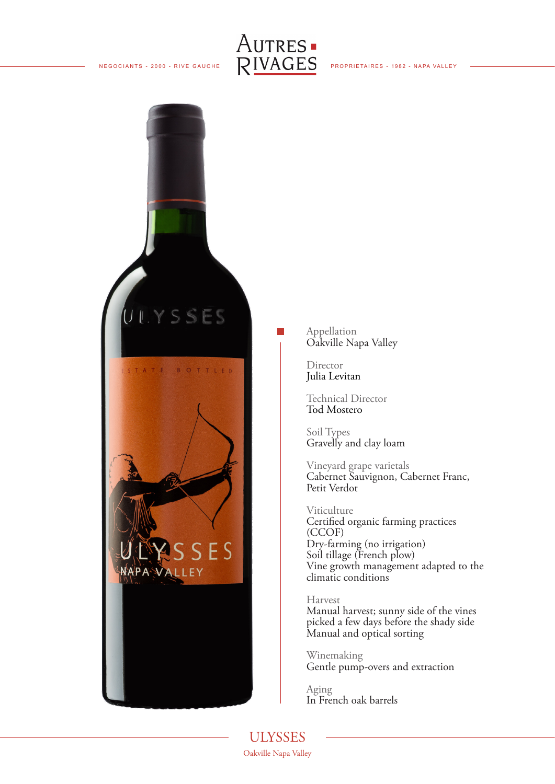



Appellation Oakville Napa Valley

Director Julia Levitan

Technical Director Tod Mostero

Soil Types Gravelly and clay loam

Vineyard grape varietals Cabernet Sauvignon, Cabernet Franc, Petit Verdot

Viticulture Certified organic farming practices (CCOF) Dry-farming (no irrigation) Soil tillage (French plow) Vine growth management adapted to the climatic conditions

Harvest Manual harvest; sunny side of the vines picked a few days before the shady side Manual and optical sorting

Winemaking Gentle pump-overs and extraction

Aging In French oak barrels

ULYSSES Oakville Napa Valley